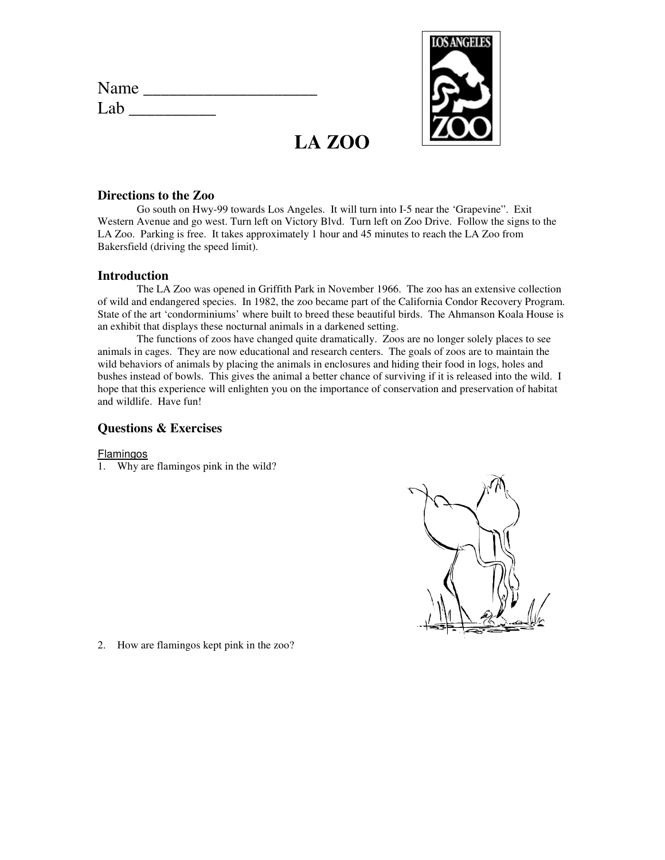| Name |  |  |  |
|------|--|--|--|
| Lab  |  |  |  |



# **LA ZOO**

## **Directions to the Zoo**

Go south on Hwy-99 towards Los Angeles. It will turn into I-5 near the 'Grapevine". Exit Western Avenue and go west. Turn left on Victory Blvd. Turn left on Zoo Drive. Follow the signs to the LA Zoo. Parking is free. It takes approximately 1 hour and 45 minutes to reach the LA Zoo from Bakersfield (driving the speed limit).

## **Introduction**

The LA Zoo was opened in Griffith Park in November 1966. The zoo has an extensive collection of wild and endangered species. In 1982, the zoo became part of the California Condor Recovery Program. State of the art 'condorminiums' where built to breed these beautiful birds. The Ahmanson Koala House is an exhibit that displays these nocturnal animals in a darkened setting.

 The functions of zoos have changed quite dramatically. Zoos are no longer solely places to see animals in cages. They are now educational and research centers. The goals of zoos are to maintain the wild behaviors of animals by placing the animals in enclosures and hiding their food in logs, holes and bushes instead of bowls. This gives the animal a better chance of surviving if it is released into the wild. I hope that this experience will enlighten you on the importance of conservation and preservation of habitat and wildlife. Have fun!

## **Questions & Exercises**

#### Flamingos

1. Why are flamingos pink in the wild?



2. How are flamingos kept pink in the zoo?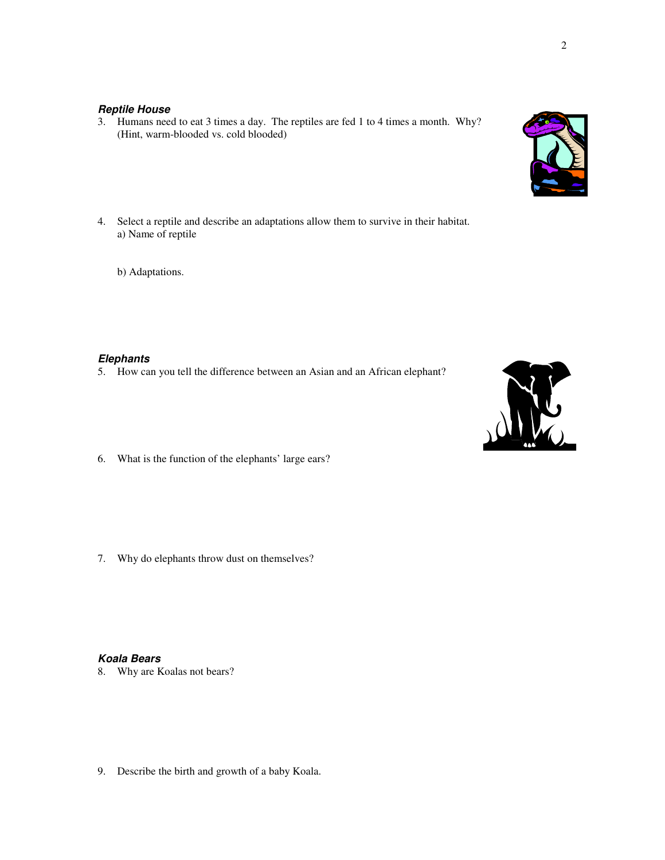## **Reptile House**

- 3. Humans need to eat 3 times a day. The reptiles are fed 1 to 4 times a month. Why? (Hint, warm-blooded vs. cold blooded)
- 4. Select a reptile and describe an adaptations allow them to survive in their habitat. a) Name of reptile
	- b) Adaptations.

### **Elephants**

- 5. How can you tell the difference between an Asian and an African elephant?
- 6. What is the function of the elephants' large ears?

7. Why do elephants throw dust on themselves?

## **Koala Bears**

8. Why are Koalas not bears?

9. Describe the birth and growth of a baby Koala.



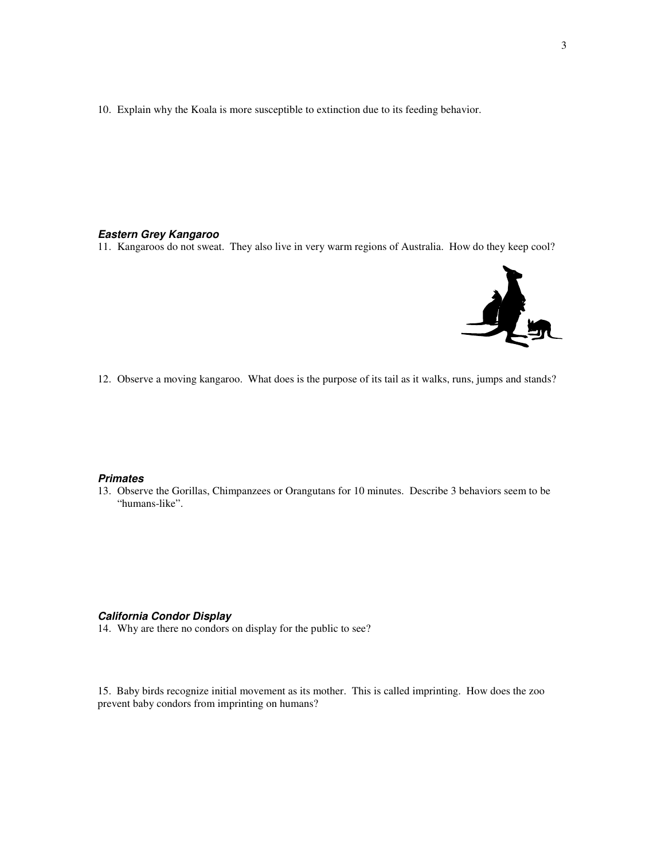10. Explain why the Koala is more susceptible to extinction due to its feeding behavior.

#### **Eastern Grey Kangaroo**

11. Kangaroos do not sweat. They also live in very warm regions of Australia. How do they keep cool?



12. Observe a moving kangaroo. What does is the purpose of its tail as it walks, runs, jumps and stands?

#### **Primates**

13. Observe the Gorillas, Chimpanzees or Orangutans for 10 minutes. Describe 3 behaviors seem to be "humans-like".

#### **California Condor Display**

14. Why are there no condors on display for the public to see?

15. Baby birds recognize initial movement as its mother. This is called imprinting. How does the zoo prevent baby condors from imprinting on humans?